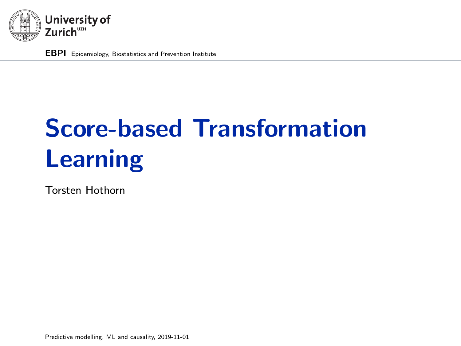<span id="page-0-0"></span>

EBPI Epidemiology, Biostatistics and Prevention Institute

# Score-based Transformation Learning

Torsten Hothorn

Predictive modelling, ML and causality, 2019-11-01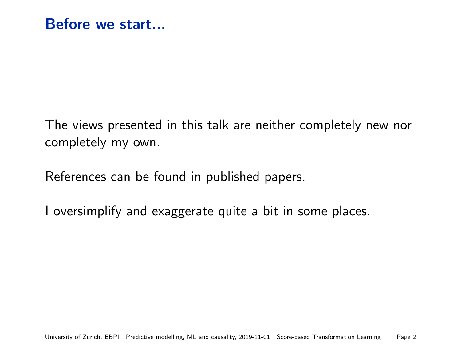The views presented in this talk are neither completely new nor completely my own.

References can be found in published papers.

I oversimplify and exaggerate quite a bit in some places.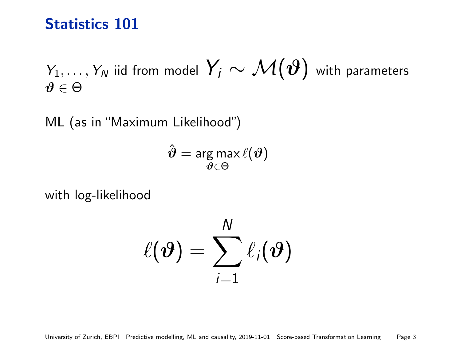# Statistics 101

 $\mathsf{Y}_1,\ldots,\mathsf{Y}_N$  iid from model  $\mathsf{Y}_i\sim\mathcal{M}(\bm{\vartheta})$  with parameters  $\vartheta \in \Theta$ 

ML (as in "Maximum Likelihood")

$$
\hat{\boldsymbol{\vartheta}} = \argmax_{\boldsymbol{\vartheta} \in \Theta} \ell(\boldsymbol{\vartheta})
$$

with log-likelihood

$$
\ell(\boldsymbol{\vartheta}) = \sum_{i=1}^N \ell_i(\boldsymbol{\vartheta})
$$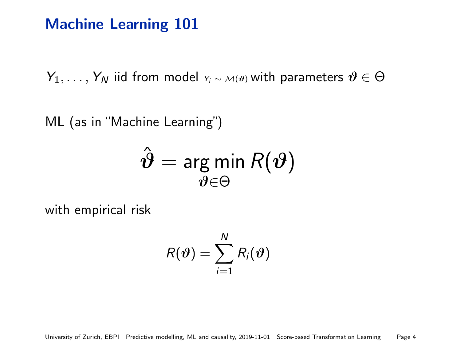# Machine Learning 101

 $Y_1, \ldots, Y_N$  iid from model  $Y_i \sim M(\vartheta)$  with parameters  $\vartheta \in \Theta$ 

ML (as in "Machine Learning")

$$
\hat{\boldsymbol{\vartheta}} = \argmin_{\boldsymbol{\vartheta} \in \Theta} R(\boldsymbol{\vartheta})
$$

with empirical risk

$$
R(\boldsymbol{\vartheta}) = \sum_{i=1}^N R_i(\boldsymbol{\vartheta})
$$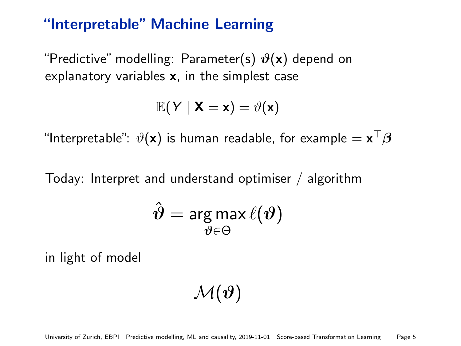## "Interpretable" Machine Learning

"Predictive" modelling: Parameter(s)  $\vartheta(x)$  depend on explanatory variables x, in the simplest case

$$
\mathbb{E}(Y \mid \mathbf{X} = \mathbf{x}) = \vartheta(\mathbf{x})
$$

"Interpretable":  $\vartheta(\mathsf{x})$  is human readable, for example  $= \mathsf{x}^\top \boldsymbol \beta$ 

Today: Interpret and understand optimiser / algorithm

$$
\hat{\boldsymbol{\vartheta}}=\argmax_{\boldsymbol{\vartheta}\in\Theta}\ell(\boldsymbol{\vartheta})
$$

in light of model

$$
\mathcal{M}(\boldsymbol{\vartheta})
$$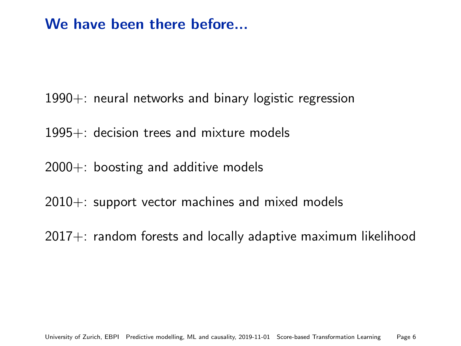# We have been there before...

- 1990+: neural networks and binary logistic regression
- 1995+: decision trees and mixture models
- $2000+$ : boosting and additive models
- 2010+: support vector machines and mixed models
- 2017+: random forests and locally adaptive maximum likelihood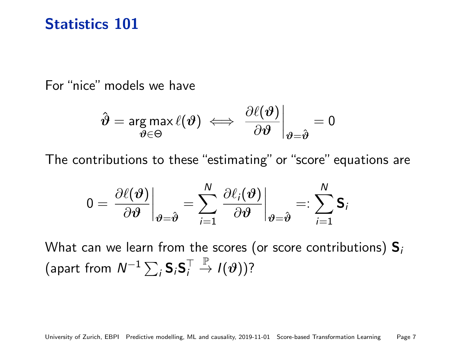# Statistics 101

For "nice" models we have

$$
\hat{\boldsymbol{\vartheta}} = \argmax_{\boldsymbol{\vartheta} \in \Theta} \ell(\boldsymbol{\vartheta}) \iff \left. \frac{\partial \ell(\boldsymbol{\vartheta})}{\partial \boldsymbol{\vartheta}} \right|_{\boldsymbol{\vartheta} = \hat{\boldsymbol{\vartheta}}} = 0
$$

The contributions to these "estimating" or "score" equations are

$$
0 = \left. \frac{\partial \ell(\boldsymbol{\vartheta})}{\partial \boldsymbol{\vartheta}} \right|_{\boldsymbol{\vartheta} = \hat{\boldsymbol{\vartheta}}} = \sum_{i=1}^{N} \left. \frac{\partial \ell_i(\boldsymbol{\vartheta})}{\partial \boldsymbol{\vartheta}} \right|_{\boldsymbol{\vartheta} = \hat{\boldsymbol{\vartheta}}} =: \sum_{i=1}^{N} \mathsf{S}_i
$$

What can we learn from the scores (or score contributions)  $S_i$ (apart from  $\mathsf{N}^{-1}\sum_i \mathsf{S}_i\mathsf{S}_i^\top$  $\stackrel{\mathbb{P}}{\rightarrow} I(\vartheta))$ ?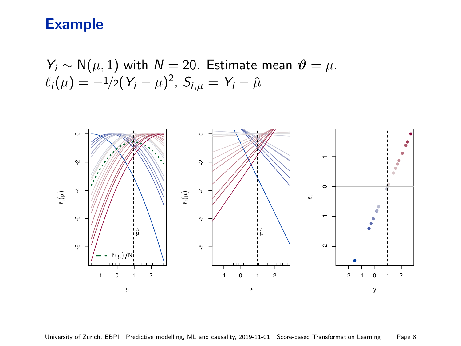## Example

 $Y_i \sim N(\mu, 1)$  with  $N = 20$ . Estimate mean  $\vartheta = \mu$ .  $\ell_i(\mu) = -1/2(\varUpsilon_i - \mu)^2$ ,  $S_{i,\mu} = \varUpsilon_i - \hat{\mu}$ 

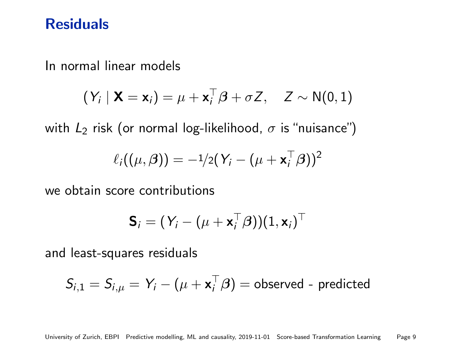## **Residuals**

In normal linear models

$$
(Y_i | \mathbf{X} = \mathbf{x}_i) = \mu + \mathbf{x}_i^{\top} \boldsymbol{\beta} + \sigma Z, \quad Z \sim N(0, 1)
$$

with  $L_2$  risk (or normal log-likelihood,  $\sigma$  is "nuisance")

$$
\ell_i((\mu,\boldsymbol{\beta})) = -\frac{1}{2}(Y_i - (\mu + \mathbf{x}_i^{\top}\boldsymbol{\beta}))^2
$$

we obtain score contributions

$$
\textbf{S}_i = (Y_i - (\mu + \textbf{x}_i^\top \boldsymbol{\beta}))(1, \textbf{x}_i)^\top
$$

and least-squares residuals

$$
S_{i,1} = S_{i,\mu} = Y_i - (\mu + \mathbf{x}_i^{\top} \boldsymbol{\beta}) = \text{observed - predicted}
$$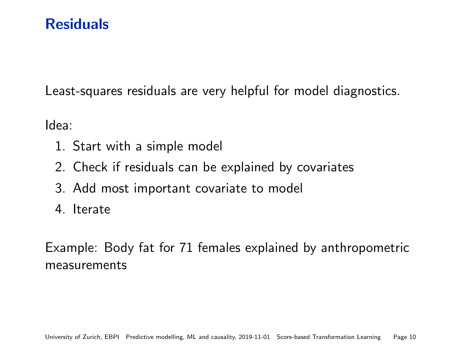# **Residuals**

Least-squares residuals are very helpful for model diagnostics.

Idea:

- 1. Start with a simple model
- 2. Check if residuals can be explained by covariates
- 3. Add most important covariate to model
- 4. Iterate

Example: Body fat for 71 females explained by anthropometric measurements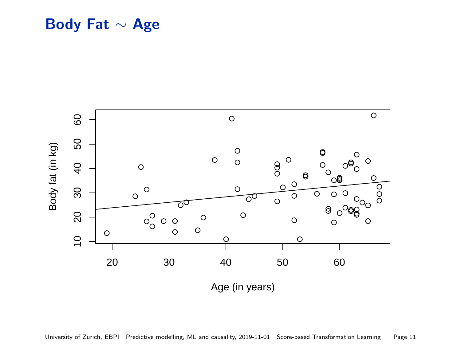Body Fat ∼ Age



University of Zurich, EBPI Predictive modelling, ML and causality, 2019-11-01 [Score-based Transformation Learning](#page-0-0) Page 11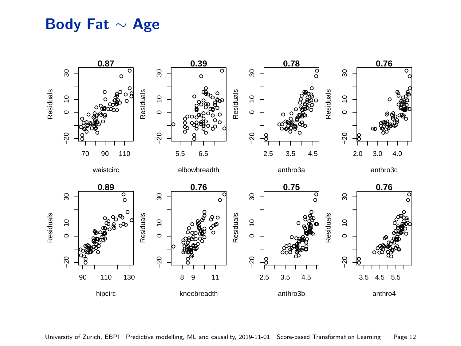# Body Fat ∼ Age

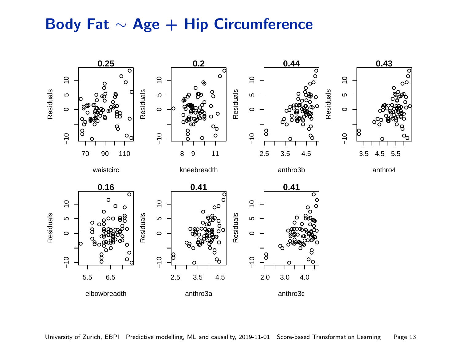# Body Fat ∼ Age + Hip Circumference

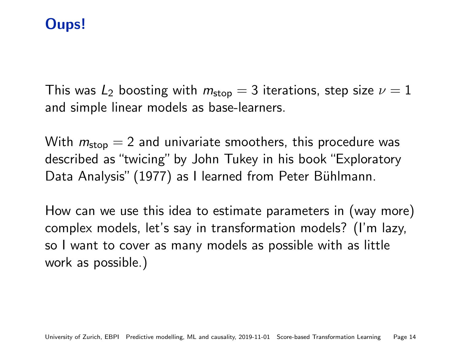# Oups!

This was  $L_2$  boosting with  $m_{\text{stop}} = 3$  iterations, step size  $\nu = 1$ and simple linear models as base-learners.

With  $m_{\text{stop}} = 2$  and univariate smoothers, this procedure was described as "twicing" by John Tukey in his book "Exploratory Data Analysis" (1977) as I learned from Peter Bühlmann.

How can we use this idea to estimate parameters in (way more) complex models, let's say in transformation models? (I'm lazy, so I want to cover as many models as possible with as little work as possible.)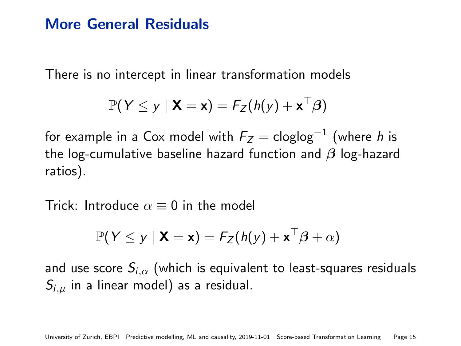## More General Residuals

There is no intercept in linear transformation models

$$
\mathbb{P}(Y \leq y \mid \mathbf{X} = \mathbf{x}) = F_Z(h(y) + \mathbf{x}^\top \boldsymbol{\beta})
$$

for example in a Cox model with  $\mathit{F}_Z = \mathsf{cloglog}^{-1}$  (where  $\mathit{h}$  is the log-cumulative baseline hazard function and  $\beta$  log-hazard ratios).

Trick: Introduce  $\alpha = 0$  in the model

$$
\mathbb{P}(Y \leq y \mid \mathbf{X} = \mathbf{x}) = F_Z(h(y) + \mathbf{x}^\top \boldsymbol{\beta} + \alpha)
$$

and use score  $S_{i,\alpha}$  (which is equivalent to least-squares residuals  $S_{i,\mu}$  in a linear model) as a residual.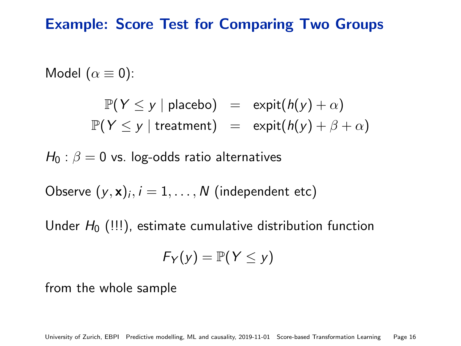## Example: Score Test for Comparing Two Groups

Model  $(\alpha \equiv 0)$ :

$$
\mathbb{P}(Y \le y \mid \text{placebo}) = \text{expit}(h(y) + \alpha)
$$
  

$$
\mathbb{P}(Y \le y \mid \text{treatment}) = \text{expit}(h(y) + \beta + \alpha)
$$

 $H_0$  :  $\beta = 0$  vs. log-odds ratio alternatives

Observe  $(y,\mathbf{x})_i, i=1,\ldots,N$  (independent etc)

Under  $H_0$  (!!!), estimate cumulative distribution function

$$
F_Y(y)=\mathbb{P}(Y\leq y)
$$

from the whole sample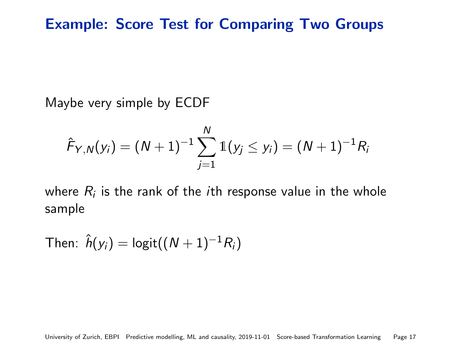Maybe very simple by ECDF

$$
\hat{F}_{Y,N}(y_i) = (N+1)^{-1} \sum_{j=1}^N \mathbb{1}(y_j \leq y_i) = (N+1)^{-1} R_i
$$

where  $R_i$  is the rank of the  $i$ th response value in the whole sample

Then: 
$$
\hat{h}(y_i) = \text{logit}((N+1)^{-1}R_i)
$$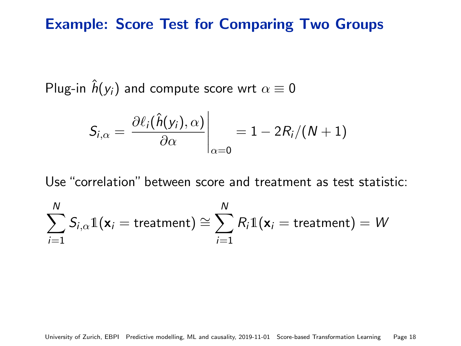# Example: Score Test for Comparing Two Groups

Plug-in  $\hat{h}(y_i)$  and compute score wrt  $\alpha \equiv 0$ 

$$
S_{i,\alpha} = \left. \frac{\partial \ell_i(\hat{h}(y_i), \alpha)}{\partial \alpha} \right|_{\alpha=0} = 1 - 2R_i/(N+1)
$$

Use "correlation" between score and treatment as test statistic:

$$
\sum_{i=1}^N S_{i,\alpha}1\!\!1(\mathbf{x}_i = \text{treatment}) \cong \sum_{i=1}^N R_i1\!\!1(\mathbf{x}_i = \text{treatment}) = W
$$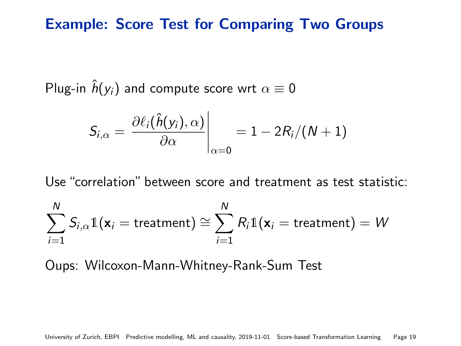# Example: Score Test for Comparing Two Groups

Plug-in  $\hat{h}(y_i)$  and compute score wrt  $\alpha \equiv 0$ 

$$
S_{i,\alpha} = \frac{\partial \ell_i(\hat{h}(y_i),\alpha)}{\partial \alpha}\Big|_{\alpha=0} = 1 - 2R_i/(N+1)
$$

 $\mathbf{r}$ 

Use "correlation" between score and treatment as test statistic:

$$
\sum_{i=1}^N S_{i,\alpha}1\!\!1(\mathbf{x}_i = \text{treatment}) \cong \sum_{i=1}^N R_i1\!\!1(\mathbf{x}_i = \text{treatment}) = W
$$

Oups: Wilcoxon-Mann-Whitney-Rank-Sum Test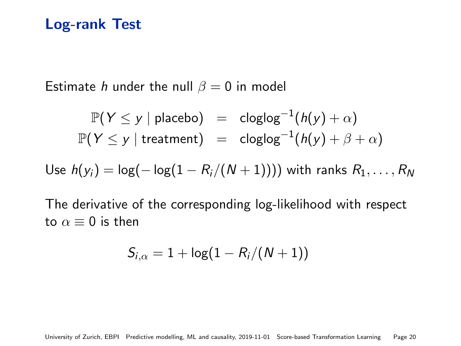## Log-rank Test

Estimate *h* under the null  $\beta = 0$  in model

$$
\mathbb{P}(Y \le y \mid \text{placebo}) = \text{cloglog}^{-1}(h(y) + \alpha)
$$
  

$$
\mathbb{P}(Y \le y \mid \text{treatment}) = \text{cloglog}^{-1}(h(y) + \beta + \alpha)
$$

Use  $h(y_i) = \log(-\log(1 - R_i/(N + 1))))$  with ranks  $R_1, ..., R_N$ 

The derivative of the corresponding log-likelihood with respect to  $\alpha \equiv 0$  is then

$$
S_{i,\alpha}=1+\log(1-R_i/(N+1))
$$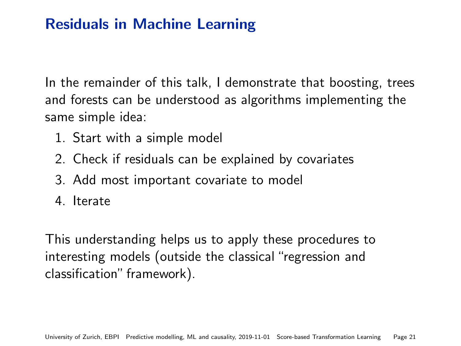# Residuals in Machine Learning

In the remainder of this talk, I demonstrate that boosting, trees and forests can be understood as algorithms implementing the same simple idea:

- 1. Start with a simple model
- 2. Check if residuals can be explained by covariates
- 3. Add most important covariate to model
- 4. Iterate

This understanding helps us to apply these procedures to interesting models (outside the classical "regression and classification" framework).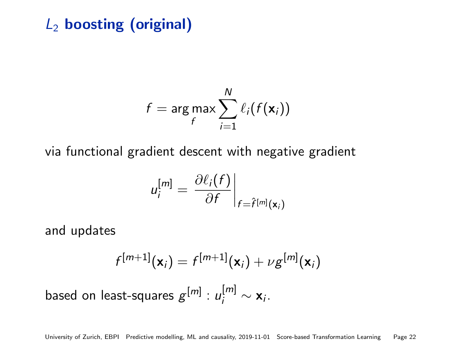# $L_2$  boosting (original)

$$
f = \arg \max_{f} \sum_{i=1}^{N} \ell_i(f(\mathbf{x}_i))
$$

via functional gradient descent with negative gradient

$$
u_i^{[m]} = \left. \frac{\partial \ell_i(f)}{\partial f} \right|_{f = \hat{f}^{[m]}(\mathbf{x}_i)}
$$

and updates

$$
f^{[m+1]}(\mathbf{x}_i) = f^{[m+1]}(\mathbf{x}_i) + \nu g^{[m]}(\mathbf{x}_i)
$$

based on least-squares  $g^{[m]}:u^{[m]}_i\sim \mathsf{x}_i.$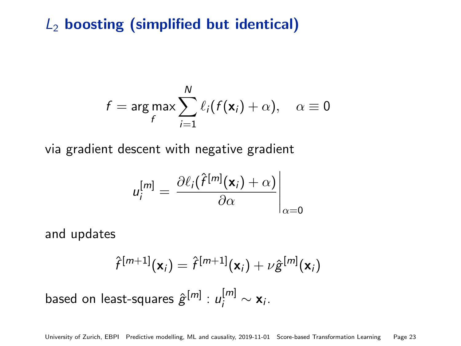# $L_2$  boosting (simplified but identical)

$$
f = \underset{f}{\arg \max} \sum_{i=1}^{N} \ell_i (f(\mathbf{x}_i) + \alpha), \quad \alpha \equiv 0
$$

via gradient descent with negative gradient

$$
u_i^{[m]} = \left. \frac{\partial \ell_i(\hat{f}^{[m]}(\mathbf{x}_i) + \alpha)}{\partial \alpha} \right|_{\alpha = 0}
$$

and updates

$$
\hat{f}^{[m+1]}(\mathbf{x}_i) = \hat{f}^{[m+1]}(\mathbf{x}_i) + \nu \hat{\mathbf{g}}^{[m]}(\mathbf{x}_i)
$$

based on least-squares  $\hat{\mathbf{g}}^{[m]}:u_i^{[m]}\sim \mathbf{x}_i.$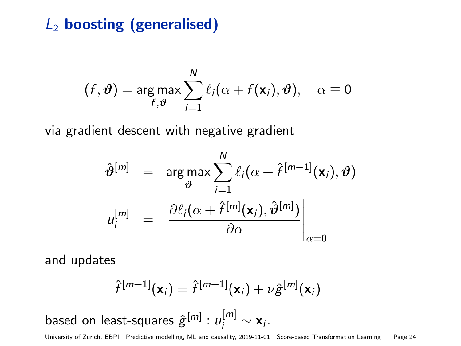# $L_2$  boosting (generalised)

$$
(f, \boldsymbol{\vartheta}) = \arg \max_{f, \boldsymbol{\vartheta}} \sum_{i=1}^{N} \ell_i(\alpha + f(\mathbf{x}_i), \boldsymbol{\vartheta}), \quad \alpha \equiv 0
$$

via gradient descent with negative gradient

$$
\hat{\boldsymbol{\vartheta}}^{[m]} = \arg \max_{\boldsymbol{\vartheta}} \sum_{i=1}^{N} \ell_i(\alpha + \hat{\boldsymbol{\tau}}^{[m-1]}(\mathbf{x}_i), \boldsymbol{\vartheta})
$$

$$
u_i^{[m]} = \left. \frac{\partial \ell_i(\alpha + \hat{\boldsymbol{\tau}}^{[m]}(\mathbf{x}_i), \hat{\boldsymbol{\vartheta}}^{[m]})}{\partial \alpha} \right|_{\alpha = 0}
$$

and updates

based

$$
\hat{f}^{[m+1]}(\mathbf{x}_i) = \hat{f}^{[m+1]}(\mathbf{x}_i) + \nu \hat{g}^{[m]}(\mathbf{x}_i)
$$
\non least-squares  $\hat{g}^{[m]} : u_i^{[m]} \sim \mathbf{x}_i$ .

University of Zurich, EBPI Predictive modelling, ML and causality, 2019-11-01 [Score-based Transformation Learning](#page-0-0) Page 24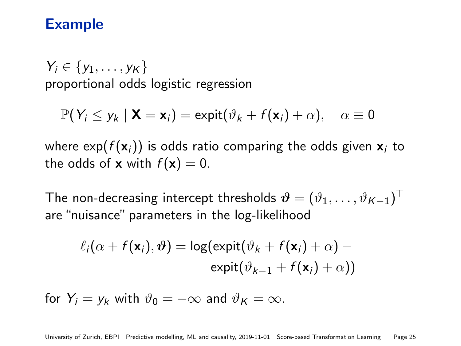## Example

 $Y_i \in \{y_1, \ldots, y_K\}$ proportional odds logistic regression

$$
\mathbb{P}(Y_i \leq y_k \mid \mathbf{X} = \mathbf{x}_i) = \text{expit}(\vartheta_k + f(\mathbf{x}_i) + \alpha), \quad \alpha \equiv 0
$$

where  $\exp(f(\mathbf{x}_i))$  is odds ratio comparing the odds given  $\mathbf{x}_i$  to the odds of **x** with  $f(\mathbf{x}) = 0$ .

The non-decreasing intercept thresholds  $\boldsymbol{\vartheta} = (\vartheta_1, \dots, \vartheta_{\mathcal{K}-1})^\top$ are "nuisance" parameters in the log-likelihood

$$
\ell_i(\alpha + f(\mathbf{x}_i), \boldsymbol{\vartheta}) = \log(\text{expit}(\vartheta_k + f(\mathbf{x}_i) + \alpha) - \text{expit}(\vartheta_{k-1} + f(\mathbf{x}_i) + \alpha))
$$

for  $Y_i = y_k$  with  $\vartheta_0 = -\infty$  and  $\vartheta_K = \infty$ .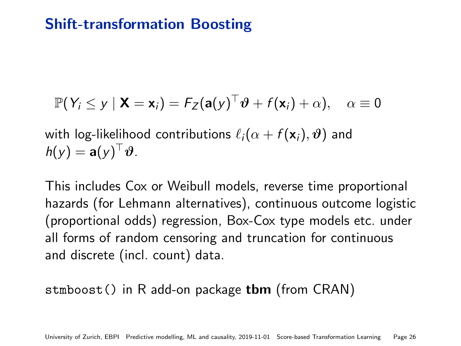# Shift-transformation Boosting

$$
\mathbb{P}(Y_i \leq y \mid \mathbf{X} = \mathbf{x}_i) = F_Z(\mathbf{a}(y)^\top \boldsymbol{\vartheta} + f(\mathbf{x}_i) + \alpha), \quad \alpha \equiv 0
$$

with log-likelihood contributions  $\ell_i(\alpha + f(\mathbf{x}_i), \boldsymbol{\vartheta})$  and  $h(y) = \mathbf{a}(y)^\top \boldsymbol{\vartheta}.$ 

This includes Cox or Weibull models, reverse time proportional hazards (for Lehmann alternatives), continuous outcome logistic (proportional odds) regression, Box-Cox type models etc. under all forms of random censoring and truncation for continuous and discrete (incl. count) data.

#### stmboost() in R add-on package **tbm** (from CRAN)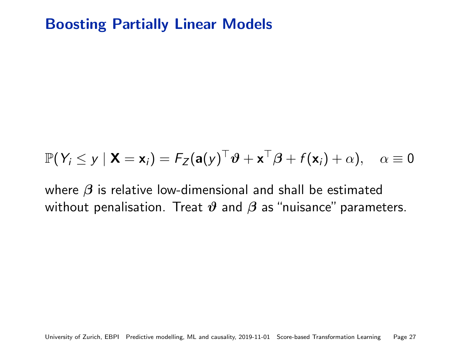# Boosting Partially Linear Models

$$
\mathbb{P}(Y_i \leq y \mid \mathbf{X} = \mathbf{x}_i) = F_Z(\mathbf{a}(y)^\top \boldsymbol{\vartheta} + \mathbf{x}^\top \boldsymbol{\beta} + f(\mathbf{x}_i) + \alpha), \quad \alpha \equiv 0
$$

where  $\beta$  is relative low-dimensional and shall be estimated without penalisation. Treat  $\vartheta$  and  $\beta$  as "nuisance" parameters.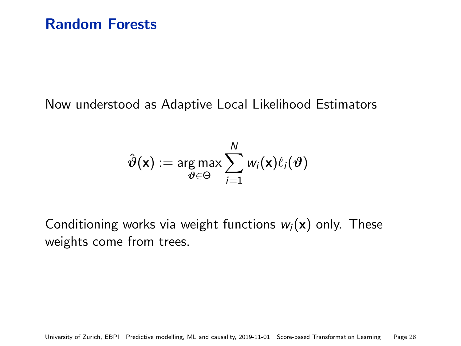#### Now understood as Adaptive Local Likelihood Estimators

$$
\hat{\boldsymbol{\vartheta}}(\mathbf{x}) := \argmax_{\boldsymbol{\vartheta} \in \Theta} \sum_{i=1}^N w_i(\mathbf{x}) \ell_i(\boldsymbol{\vartheta})
$$

Conditioning works via weight functions  $w_i(\mathbf{x})$  only. These weights come from trees.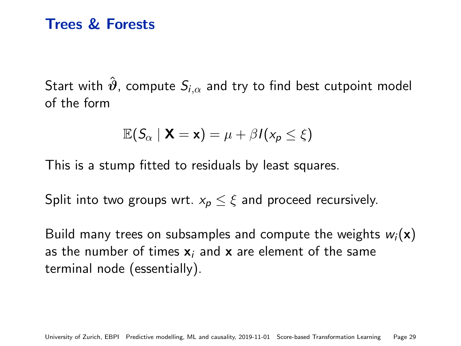## Trees & Forests

Start with  $\hat{\theta}$ , compute  $S_{i,\alpha}$  and try to find best cutpoint model of the form

$$
\mathbb{E}(S_{\alpha} \mid \mathbf{X} = \mathbf{x}) = \mu + \beta I(x_{p} \leq \xi)
$$

This is a stump fitted to residuals by least squares.

Split into two groups wrt.  $x_p \leq \xi$  and proceed recursively.

Build many trees on subsamples and compute the weights  $w_i(\mathbf{x})$ as the number of times  $x_i$  and x are element of the same terminal node (essentially).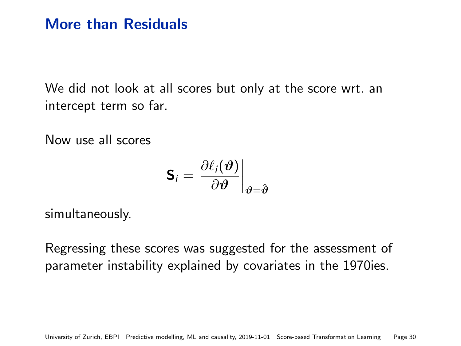# More than Residuals

We did not look at all scores but only at the score wrt. an intercept term so far.

Now use all scores

$$
\mathsf{S}_i = \left. \frac{\partial \ell_i(\boldsymbol{\vartheta})}{\partial \boldsymbol{\vartheta}} \right|_{\boldsymbol{\vartheta} = \hat{\boldsymbol{\vartheta}}}
$$

simultaneously.

Regressing these scores was suggested for the assessment of parameter instability explained by covariates in the 1970ies.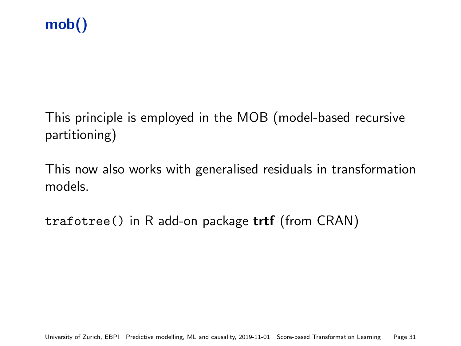# mob()

This principle is employed in the MOB (model-based recursive partitioning)

This now also works with generalised residuals in transformation models.

trafotree() in R add-on package trtf (from CRAN)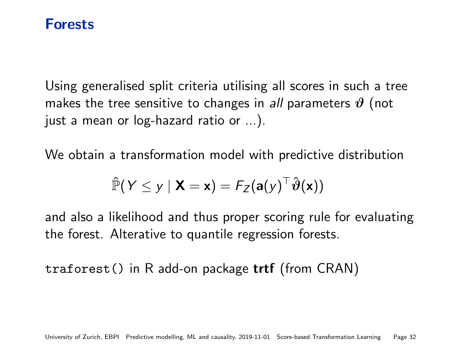#### Forests

Using generalised split criteria utilising all scores in such a tree makes the tree sensitive to changes in all parameters  $\vartheta$  (not just a mean or log-hazard ratio or ...).

We obtain a transformation model with predictive distribution

$$
\hat{\mathbb{P}}(Y \leq y \mid \mathbf{X} = \mathbf{x}) = F_Z(\mathbf{a}(y)^\top \hat{\boldsymbol{\vartheta}}(\mathbf{x}))
$$

and also a likelihood and thus proper scoring rule for evaluating the forest. Alterative to quantile regression forests.

traforest() in R add-on package trtf (from CRAN)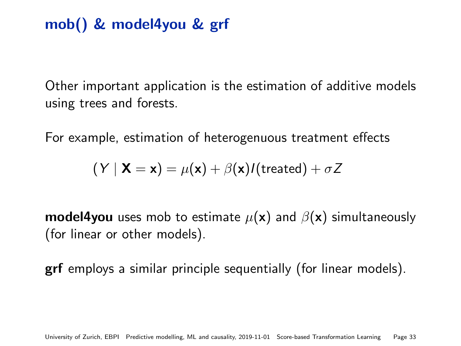# mob() & model4you & grf

Other important application is the estimation of additive models using trees and forests.

For example, estimation of heterogenuous treatment effects

$$
(\boldsymbol{\mathsf{Y}} \mid \mathbf{X}=\mathbf{x}) = \mu(\mathbf{x}) + \beta(\mathbf{x}) I(\text{treated}) + \sigma Z
$$

**model4you** uses mob to estimate  $\mu(\mathbf{x})$  and  $\beta(\mathbf{x})$  simultaneously (for linear or other models).

grf employs a similar principle sequentially (for linear models).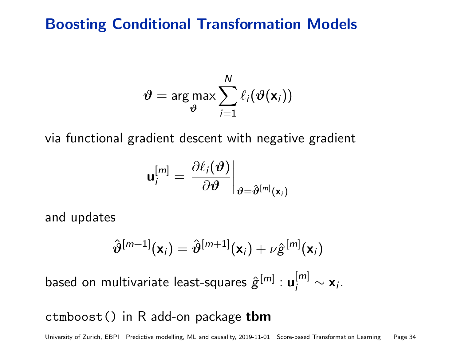## Boosting Conditional Transformation Models

$$
\boldsymbol{\vartheta} = \argmax_{\boldsymbol{\vartheta}} \sum_{i=1}^N \ell_i(\boldsymbol{\vartheta}(\mathbf{x}_i))
$$

via functional gradient descent with negative gradient

$$
\mathbf{u}^{[m]}_i = \left. \frac{\partial \ell_i(\boldsymbol{\vartheta})}{\partial \boldsymbol{\vartheta}} \right|_{\boldsymbol{\vartheta} = \hat{\boldsymbol{\vartheta}}^{[m]}(\mathbf{x}_i)}
$$

and updates

$$
\hat{\boldsymbol{\vartheta}}^{[m+1]}(\mathsf{x}_i) = \hat{\boldsymbol{\vartheta}}^{[m+1]}(\mathsf{x}_i) + \nu \hat{\boldsymbol{\vartheta}}^{[m]}(\mathsf{x}_i)
$$

based on multivariate least-squares  $\hat{\bf g}^{[m]}: {\bf u}_i^{[m]} \sim {\bf x}_i.$ 

#### ctmboost() in R add-on package tbm

University of Zurich, EBPI Predictive modelling, ML and causality, 2019-11-01 [Score-based Transformation Learning](#page-0-0) Page 34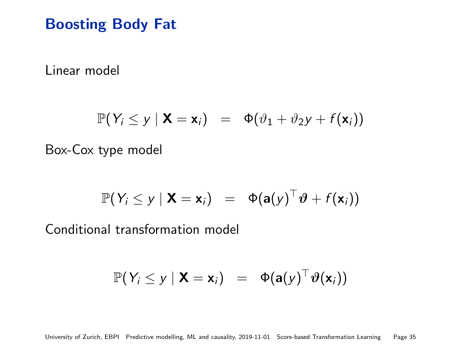# Boosting Body Fat

[Linear model](http://user.math.uzh.ch/hothorn/talks/movie/stm_linear/index.html)

$$
\mathbb{P}(Y_i \leq y \mid \mathbf{X} = \mathbf{x}_i) = \Phi(\vartheta_1 + \vartheta_2 y + f(\mathbf{x}_i))
$$

[Box-Cox type model](http://user.math.uzh.ch/hothorn/talks/movie/stm_BoxCox/index.html)

$$
\mathbb{P}(Y_i \leq y \mid \mathbf{X} = \mathbf{x}_i) = \Phi(\mathbf{a}(y)^\top \boldsymbol{\vartheta} + f(\mathbf{x}_i))
$$

[Conditional transformation model](http://user.math.uzh.ch/hothorn/talks/movie/ctm/index.html)

$$
\mathbb{P}(Y_i \leq y \mid \mathbf{X} = \mathbf{x}_i) = \Phi(\mathbf{a}(y)^\top \vartheta(\mathbf{x}_i))
$$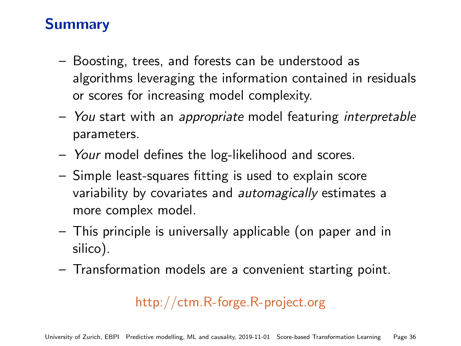# Summary

- Boosting, trees, and forests can be understood as algorithms leveraging the information contained in residuals or scores for increasing model complexity.
- You start with an appropriate model featuring interpretable parameters.
- Your model defines the log-likelihood and scores.
- Simple least-squares fitting is used to explain score variability by covariates and *automagically* estimates a more complex model.
- This principle is universally applicable (on paper and in silico).
- Transformation models are a convenient starting point.

# <http://ctm.R-forge.R-project.org>